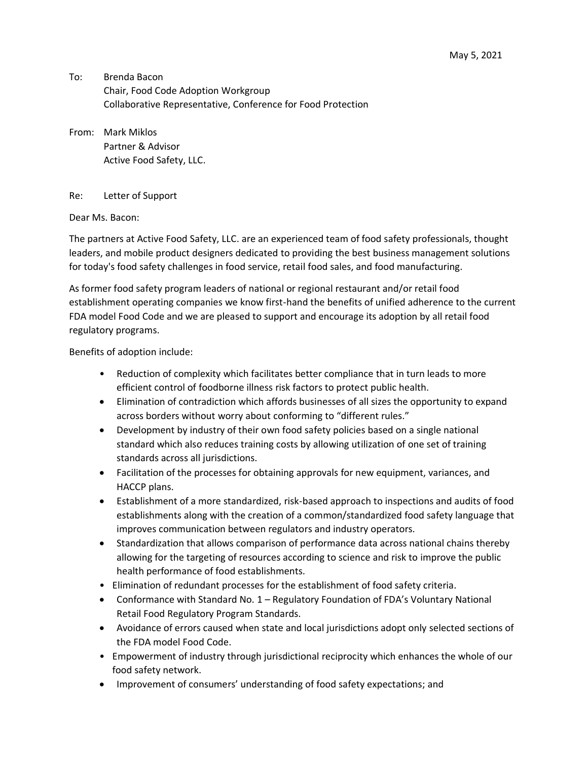To: Brenda Bacon Chair, Food Code Adoption Workgroup Collaborative Representative, Conference for Food Protection

From: Mark Miklos Partner & Advisor Active Food Safety, LLC.

## Re: Letter of Support

Dear Ms. Bacon:

The partners at Active Food Safety, LLC. are an experienced team of food safety professionals, thought leaders, and mobile product designers dedicated to providing the best business management solutions for today's food safety challenges in food service, retail food sales, and food manufacturing.

As former food safety program leaders of national or regional restaurant and/or retail food establishment operating companies we know first-hand the benefits of unified adherence to the current FDA model Food Code and we are pleased to support and encourage its adoption by all retail food regulatory programs.

Benefits of adoption include:

- Reduction of complexity which facilitates better compliance that in turn leads to more efficient control of foodborne illness risk factors to protect public health.
- Elimination of contradiction which affords businesses of all sizes the opportunity to expand across borders without worry about conforming to "different rules."
- Development by industry of their own food safety policies based on a single national standard which also reduces training costs by allowing utilization of one set of training standards across all jurisdictions.
- Facilitation of the processes for obtaining approvals for new equipment, variances, and HACCP plans.
- Establishment of a more standardized, risk-based approach to inspections and audits of food establishments along with the creation of a common/standardized food safety language that improves communication between regulators and industry operators.
- Standardization that allows comparison of performance data across national chains thereby allowing for the targeting of resources according to science and risk to improve the public health performance of food establishments.
- Elimination of redundant processes for the establishment of food safety criteria.
- Conformance with Standard No. 1 Regulatory Foundation of FDA's Voluntary National Retail Food Regulatory Program Standards.
- Avoidance of errors caused when state and local jurisdictions adopt only selected sections of the FDA model Food Code.
- Empowerment of industry through jurisdictional reciprocity which enhances the whole of our food safety network.
- Improvement of consumers' understanding of food safety expectations; and